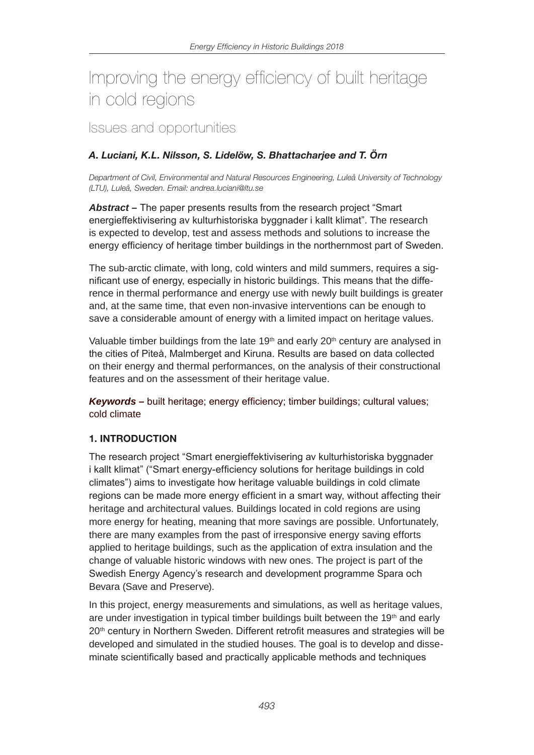# Improving the energy efficiency of built heritage in cold regions

# Issues and opportunities

# *A. Luciani, K.L. Nilsson, S. Lidelöw, S. Bhattacharjee and T. Örn*

*Department of Civil, Environmental and Natural Resources Engineering, Luleå University of Technology (LTU), Luleå, Sweden. Email: andrea.luciani@ltu.se*

*Abstract –* The paper presents results from the research project "Smart energieffektivisering av kulturhistoriska byggnader i kallt klimat". The research is expected to develop, test and assess methods and solutions to increase the energy efficiency of heritage timber buildings in the northernmost part of Sweden.

The sub-arctic climate, with long, cold winters and mild summers, requires a significant use of energy, especially in historic buildings. This means that the difference in thermal performance and energy use with newly built buildings is greater and, at the same time, that even non-invasive interventions can be enough to save a considerable amount of energy with a limited impact on heritage values.

Valuable timber buildings from the late 19<sup>th</sup> and early 20<sup>th</sup> century are analysed in the cities of Piteå, Malmberget and Kiruna. Results are based on data collected on their energy and thermal performances, on the analysis of their constructional features and on the assessment of their heritage value.

*Keywords –* built heritage; energy efficiency; timber buildings; cultural values; cold climate

## 1. INTRODUCTION

The research project "Smart energieffektivisering av kulturhistoriska byggnader i kallt klimat" ("Smart energy-efficiency solutions for heritage buildings in cold climates") aims to investigate how heritage valuable buildings in cold climate regions can be made more energy efficient in a smart way, without affecting their heritage and architectural values. Buildings located in cold regions are using more energy for heating, meaning that more savings are possible. Unfortunately, there are many examples from the past of irresponsive energy saving efforts applied to heritage buildings, such as the application of extra insulation and the change of valuable historic windows with new ones. The project is part of the Swedish Energy Agency's research and development programme Spara och Bevara (Save and Preserve).

In this project, energy measurements and simulations, as well as heritage values, are under investigation in typical timber buildings built between the 19<sup>th</sup> and early 20th century in Northern Sweden. Different retrofit measures and strategies will be developed and simulated in the studied houses. The goal is to develop and disseminate scientifically based and practically applicable methods and techniques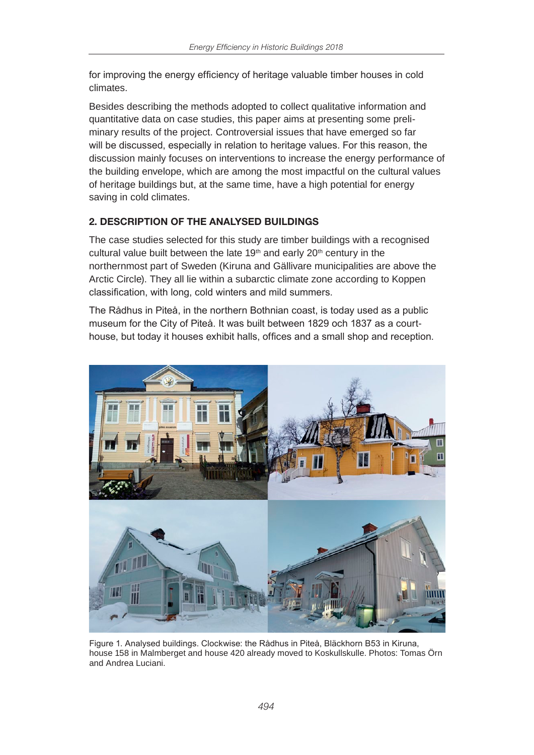for improving the energy efficiency of heritage valuable timber houses in cold climates.

Besides describing the methods adopted to collect qualitative information and quantitative data on case studies, this paper aims at presenting some preliminary results of the project. Controversial issues that have emerged so far will be discussed, especially in relation to heritage values. For this reason, the discussion mainly focuses on interventions to increase the energy performance of the building envelope, which are among the most impactful on the cultural values of heritage buildings but, at the same time, have a high potential for energy saving in cold climates.

# 2. DESCRIPTION OF THE ANALYSED BUILDINGS

The case studies selected for this study are timber buildings with a recognised cultural value built between the late  $19<sup>th</sup>$  and early  $20<sup>th</sup>$  century in the northernmost part of Sweden (Kiruna and Gällivare municipalities are above the Arctic Circle). They all lie within a subarctic climate zone according to Koppen classification, with long, cold winters and mild summers.

The Rådhus in Piteå, in the northern Bothnian coast, is today used as a public museum for the City of Piteå. It was built between 1829 och 1837 as a courthouse, but today it houses exhibit halls, offices and a small shop and reception.



Figure 1. Analysed buildings. Clockwise: the Rådhus in Piteå, Bläckhorn B53 in Kiruna, house 158 in Malmberget and house 420 already moved to Koskullskulle. Photos: Tomas Örn and Andrea Luciani.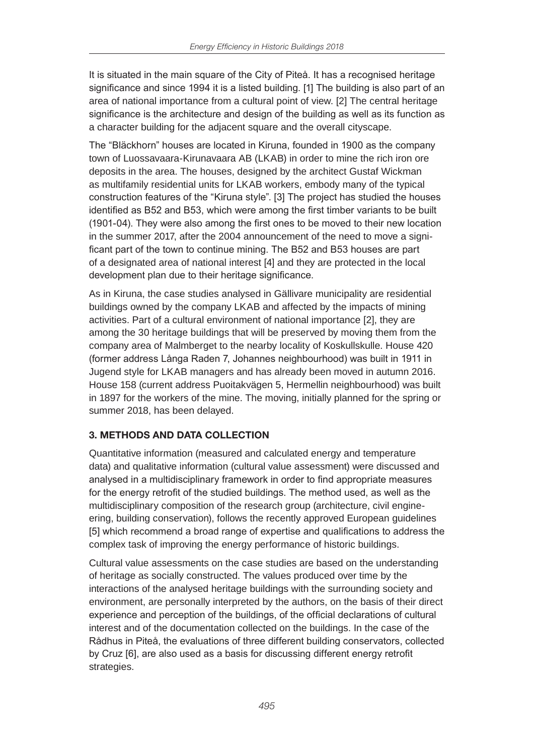It is situated in the main square of the City of Piteå. It has a recognised heritage significance and since 1994 it is a listed building. [1] The building is also part of an area of national importance from a cultural point of view. [2] The central heritage significance is the architecture and design of the building as well as its function as a character building for the adjacent square and the overall cityscape.

The "Bläckhorn" houses are located in Kiruna, founded in 1900 as the company town of Luossavaara-Kirunavaara AB (LKAB) in order to mine the rich iron ore deposits in the area. The houses, designed by the architect Gustaf Wickman as multifamily residential units for LKAB workers, embody many of the typical construction features of the "Kiruna style". [3] The project has studied the houses identified as B52 and B53, which were among the first timber variants to be built (1901-04). They were also among the first ones to be moved to their new location in the summer 2017, after the 2004 announcement of the need to move a significant part of the town to continue mining. The B52 and B53 houses are part of a designated area of national interest [4] and they are protected in the local development plan due to their heritage significance.

As in Kiruna, the case studies analysed in Gällivare municipality are residential buildings owned by the company LKAB and affected by the impacts of mining activities. Part of a cultural environment of national importance [2], they are among the 30 heritage buildings that will be preserved by moving them from the company area of Malmberget to the nearby locality of Koskullskulle. House 420 (former address Långa Raden 7, Johannes neighbourhood) was built in 1911 in Jugend style for LKAB managers and has already been moved in autumn 2016. House 158 (current address Puoitakvägen 5, Hermellin neighbourhood) was built in 1897 for the workers of the mine. The moving, initially planned for the spring or summer 2018, has been delayed.

## 3. METHODS AND DATA COLLECTION

Quantitative information (measured and calculated energy and temperature data) and qualitative information (cultural value assessment) were discussed and analysed in a multidisciplinary framework in order to find appropriate measures for the energy retrofit of the studied buildings. The method used, as well as the multidisciplinary composition of the research group (architecture, civil engineering, building conservation), follows the recently approved European guidelines [5] which recommend a broad range of expertise and qualifications to address the complex task of improving the energy performance of historic buildings.

Cultural value assessments on the case studies are based on the understanding of heritage as socially constructed. The values produced over time by the interactions of the analysed heritage buildings with the surrounding society and environment, are personally interpreted by the authors, on the basis of their direct experience and perception of the buildings, of the official declarations of cultural interest and of the documentation collected on the buildings. In the case of the Rådhus in Piteå, the evaluations of three different building conservators, collected by Cruz [6], are also used as a basis for discussing different energy retrofit strategies.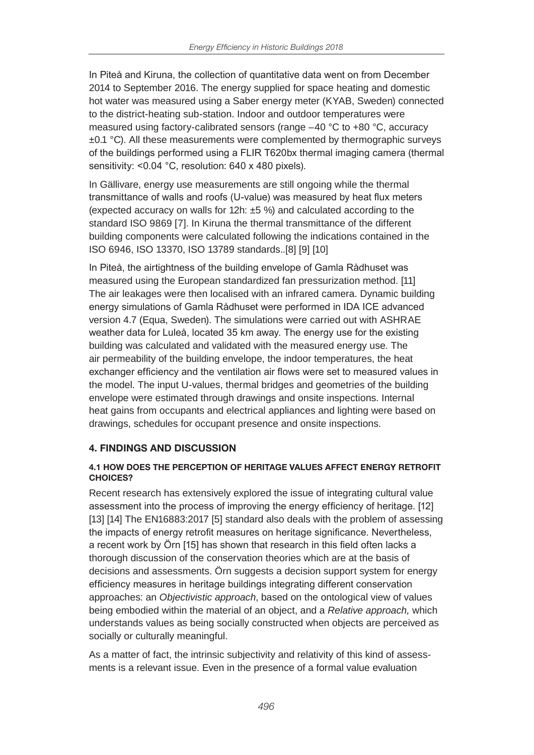In Piteå and Kiruna, the collection of quantitative data went on from December 2014 to September 2016. The energy supplied for space heating and domestic hot water was measured using a Saber energy meter (KYAB, Sweden) connected to the district-heating sub-station. Indoor and outdoor temperatures were measured using factory-calibrated sensors (range –40 °C to +80 °C, accuracy  $\pm$ 0.1 °C). All these measurements were complemented by thermographic surveys of the buildings performed using a FLIR T620bx thermal imaging camera (thermal sensitivity: <0.04 °C, resolution: 640 x 480 pixels).

In Gällivare, energy use measurements are still ongoing while the thermal transmittance of walls and roofs (U-value) was measured by heat flux meters (expected accuracy on walls for 12h: ±5 %) and calculated according to the standard ISO 9869 [7]. In Kiruna the thermal transmittance of the different building components were calculated following the indications contained in the ISO 6946, ISO 13370, ISO 13789 standards..[8] [9] [10]

In Piteå, the airtightness of the building envelope of Gamla Rådhuset was measured using the European standardized fan pressurization method. [11] The air leakages were then localised with an infrared camera. Dynamic building energy simulations of Gamla Rådhuset were performed in IDA ICE advanced version 4.7 (Equa, Sweden). The simulations were carried out with ASHRAE weather data for Luleå, located 35 km away. The energy use for the existing building was calculated and validated with the measured energy use. The air permeability of the building envelope, the indoor temperatures, the heat exchanger efficiency and the ventilation air flows were set to measured values in the model. The input U-values, thermal bridges and geometries of the building envelope were estimated through drawings and onsite inspections. Internal heat gains from occupants and electrical appliances and lighting were based on drawings, schedules for occupant presence and onsite inspections.

## 4. FINDINGS AND DISCUSSION

#### 4.1 HOW DOES THE PERCEPTION OF HERITAGE VALUES AFFECT ENERGY RETROFIT CHOICES?

Recent research has extensively explored the issue of integrating cultural value assessment into the process of improving the energy efficiency of heritage. [12] [13] [14] The EN16883:2017 [5] standard also deals with the problem of assessing the impacts of energy retrofit measures on heritage significance. Nevertheless, a recent work by Örn [15] has shown that research in this field often lacks a thorough discussion of the conservation theories which are at the basis of decisions and assessments. Örn suggests a decision support system for energy efficiency measures in heritage buildings integrating different conservation approaches: an *Objectivistic approach*, based on the ontological view of values being embodied within the material of an object, and a *Relative approach,* which understands values as being socially constructed when objects are perceived as socially or culturally meaningful.

As a matter of fact, the intrinsic subjectivity and relativity of this kind of assessments is a relevant issue. Even in the presence of a formal value evaluation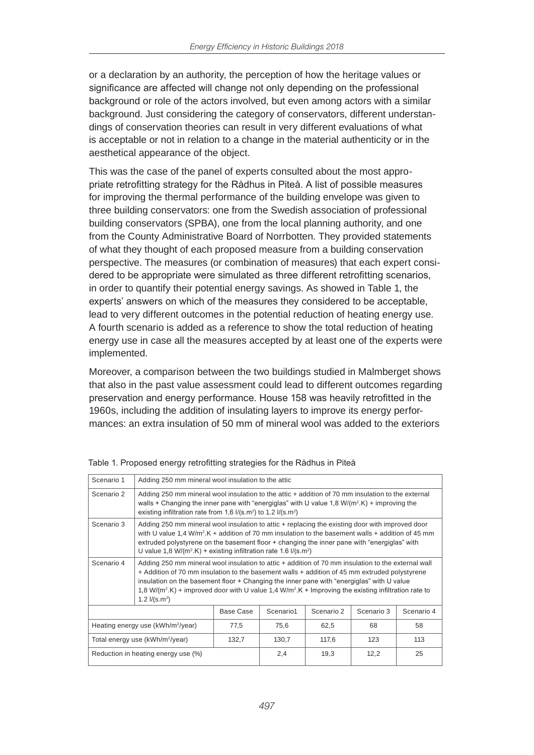or a declaration by an authority, the perception of how the heritage values or significance are affected will change not only depending on the professional background or role of the actors involved, but even among actors with a similar background. Just considering the category of conservators, different understandings of conservation theories can result in very different evaluations of what is acceptable or not in relation to a change in the material authenticity or in the aesthetical appearance of the object.

This was the case of the panel of experts consulted about the most appropriate retrofitting strategy for the Rådhus in Piteå. A list of possible measures for improving the thermal performance of the building envelope was given to three building conservators: one from the Swedish association of professional building conservators (SPBA), one from the local planning authority, and one from the County Administrative Board of Norrbotten. They provided statements of what they thought of each proposed measure from a building conservation perspective. The measures (or combination of measures) that each expert considered to be appropriate were simulated as three different retrofitting scenarios, in order to quantify their potential energy savings. As showed in Table 1, the experts' answers on which of the measures they considered to be acceptable, lead to very different outcomes in the potential reduction of heating energy use. A fourth scenario is added as a reference to show the total reduction of heating energy use in case all the measures accepted by at least one of the experts were implemented.

Moreover, a comparison between the two buildings studied in Malmberget shows that also in the past value assessment could lead to different outcomes regarding preservation and energy performance. House 158 was heavily retrofitted in the 1960s, including the addition of insulating layers to improve its energy performances: an extra insulation of 50 mm of mineral wool was added to the exteriors

| Scenario 1                                            | Adding 250 mm mineral wool insulation to the attic                                                                                                                                                                                                                                                                                                                                                                                  |                  |           |            |            |            |  |  |  |
|-------------------------------------------------------|-------------------------------------------------------------------------------------------------------------------------------------------------------------------------------------------------------------------------------------------------------------------------------------------------------------------------------------------------------------------------------------------------------------------------------------|------------------|-----------|------------|------------|------------|--|--|--|
| Scenario 2                                            | Adding 250 mm mineral wool insulation to the attic + addition of 70 mm insulation to the external<br>walls + Changing the inner pane with "energiglas" with U value 1,8 W/( $m2$ .K) + improving the<br>existing infiltration rate from $1.6 \frac{\text{I}}{\text{S}} \cdot \text{m}^2$ to $1.2 \frac{\text{I}}{\text{S}} \cdot \text{m}^2$                                                                                        |                  |           |            |            |            |  |  |  |
| Scenario 3                                            | Adding 250 mm mineral wool insulation to attic + replacing the existing door with improved door<br>with U value 1.4 W/m <sup>2</sup> .K + addition of 70 mm insulation to the basement walls + addition of 45 mm<br>extruded polystyrene on the basement floor + changing the inner pane with "energiglas" with<br>U value 1,8 W/( $m^2$ .K) + existing infiltration rate 1.6 I/(s.m <sup>2</sup> )                                 |                  |           |            |            |            |  |  |  |
| Scenario 4                                            | Adding 250 mm mineral wool insulation to attic + addition of 70 mm insulation to the external wall<br>+ Addition of 70 mm insulation to the basement walls + addition of 45 mm extruded polystyrene<br>insulation on the basement floor + Changing the inner pane with "energiglas" with U value<br>1,8 W/( $m^2$ .K) + improved door with U value 1,4 W/ $m^2$ .K + Improving the existing infiltration rate to<br>1.2 $1/(s.m^2)$ |                  |           |            |            |            |  |  |  |
|                                                       |                                                                                                                                                                                                                                                                                                                                                                                                                                     | <b>Base Case</b> | Scenario1 | Scenario 2 | Scenario 3 | Scenario 4 |  |  |  |
| Heating energy use (kWh/m <sup>2</sup> /year)<br>77.5 |                                                                                                                                                                                                                                                                                                                                                                                                                                     | 75,6             | 62,5      | 68         | 58         |            |  |  |  |
| Total energy use (kWh/m <sup>2</sup> /year)<br>132,7  |                                                                                                                                                                                                                                                                                                                                                                                                                                     |                  | 130,7     | 117,6      | 123        | 113        |  |  |  |
| Reduction in heating energy use (%)                   |                                                                                                                                                                                                                                                                                                                                                                                                                                     |                  | 2,4       | 19,3       | 12,2       | 25         |  |  |  |

Table 1. Proposed energy retrofitting strategies for the Rådhus in Piteå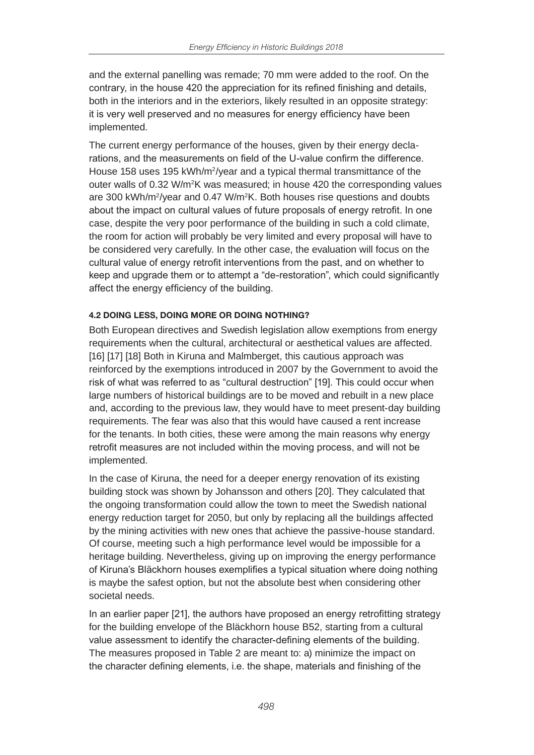and the external panelling was remade; 70 mm were added to the roof. On the contrary, in the house 420 the appreciation for its refined finishing and details, both in the interiors and in the exteriors, likely resulted in an opposite strategy: it is very well preserved and no measures for energy efficiency have been implemented.

The current energy performance of the houses, given by their energy declarations, and the measurements on field of the U-value confirm the difference. House 158 uses 195 kWh/m<sup>2</sup>/year and a typical thermal transmittance of the outer walls of 0.32 W/m2K was measured; in house 420 the corresponding values are 300 kWh/m2/year and 0.47 W/m2K. Both houses rise questions and doubts about the impact on cultural values of future proposals of energy retrofit. In one case, despite the very poor performance of the building in such a cold climate, the room for action will probably be very limited and every proposal will have to be considered very carefully. In the other case, the evaluation will focus on the cultural value of energy retrofit interventions from the past, and on whether to keep and upgrade them or to attempt a "de-restoration", which could significantly affect the energy efficiency of the building.

#### 4.2 DOING LESS, DOING MORE OR DOING NOTHING?

Both European directives and Swedish legislation allow exemptions from energy requirements when the cultural, architectural or aesthetical values are affected. [16] [17] [18] Both in Kiruna and Malmberget, this cautious approach was reinforced by the exemptions introduced in 2007 by the Government to avoid the risk of what was referred to as "cultural destruction" [19]. This could occur when large numbers of historical buildings are to be moved and rebuilt in a new place and, according to the previous law, they would have to meet present-day building requirements. The fear was also that this would have caused a rent increase for the tenants. In both cities, these were among the main reasons why energy retrofit measures are not included within the moving process, and will not be implemented.

In the case of Kiruna, the need for a deeper energy renovation of its existing building stock was shown by Johansson and others [20]. They calculated that the ongoing transformation could allow the town to meet the Swedish national energy reduction target for 2050, but only by replacing all the buildings affected by the mining activities with new ones that achieve the passive-house standard. Of course, meeting such a high performance level would be impossible for a heritage building. Nevertheless, giving up on improving the energy performance of Kiruna's Bläckhorn houses exemplifies a typical situation where doing nothing is maybe the safest option, but not the absolute best when considering other societal needs.

In an earlier paper [21], the authors have proposed an energy retrofitting strategy for the building envelope of the Bläckhorn house B52, starting from a cultural value assessment to identify the character-defining elements of the building. The measures proposed in Table 2 are meant to: a) minimize the impact on the character defining elements, i.e. the shape, materials and finishing of the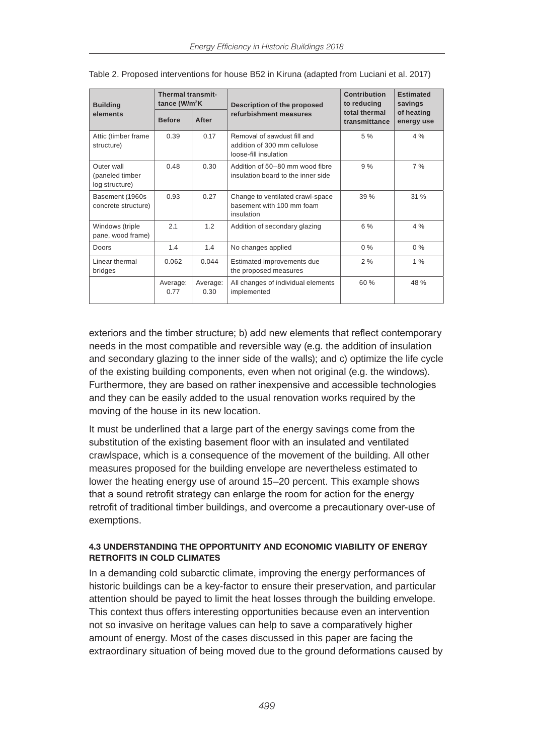| <b>Building</b>                                 | <b>Thermal transmit-</b><br>tance $(W/m^2K)$ |                  | Description of the proposed                                                          | Contribution<br>to reducing    | <b>Estimated</b><br>savings |
|-------------------------------------------------|----------------------------------------------|------------------|--------------------------------------------------------------------------------------|--------------------------------|-----------------------------|
| elements                                        | <b>Before</b>                                | After            | refurbishment measures                                                               | total thermal<br>transmittance | of heating<br>energy use    |
| Attic (timber frame<br>structure)               | 0.39                                         | 0.17             | Removal of sawdust fill and<br>addition of 300 mm cellulose<br>loose-fill insulation | 5%                             | 4%                          |
| Outer wall<br>(paneled timber<br>log structure) | 0.48                                         | 0.30             | Addition of 50-80 mm wood fibre<br>insulation board to the inner side                | 9%                             | 7%                          |
| Basement (1960s<br>concrete structure)          | 0.93                                         | 0.27             | Change to ventilated crawl-space<br>basement with 100 mm foam<br>insulation          | 39%                            | 31%                         |
| Windows (triple<br>pane, wood frame)            | 2.1                                          | 1.2              | Addition of secondary glazing                                                        | 6%                             | $4\%$                       |
| Doors                                           | 1.4                                          | 1.4              | No changes applied                                                                   | $0\%$                          | $0\%$                       |
| Linear thermal<br>bridges                       | 0.062                                        | 0.044            | Estimated improvements due<br>the proposed measures                                  | 2%                             | $1\%$                       |
|                                                 | Average:<br>0.77                             | Average:<br>0.30 | All changes of individual elements<br>implemented                                    | 60%                            | 48 %                        |

exteriors and the timber structure; b) add new elements that reflect contemporary needs in the most compatible and reversible way (e.g. the addition of insulation and secondary glazing to the inner side of the walls); and c) optimize the life cycle of the existing building components, even when not original (e.g. the windows). Furthermore, they are based on rather inexpensive and accessible technologies and they can be easily added to the usual renovation works required by the moving of the house in its new location.

It must be underlined that a large part of the energy savings come from the substitution of the existing basement floor with an insulated and ventilated crawlspace, which is a consequence of the movement of the building. All other measures proposed for the building envelope are nevertheless estimated to lower the heating energy use of around 15–20 percent. This example shows that a sound retrofit strategy can enlarge the room for action for the energy retrofit of traditional timber buildings, and overcome a precautionary over-use of exemptions.

#### 4.3 UNDERSTANDING THE OPPORTUNITY AND ECONOMIC VIABILITY OF ENERGY RETROFITS IN COLD CLIMATES

In a demanding cold subarctic climate, improving the energy performances of historic buildings can be a key-factor to ensure their preservation, and particular attention should be payed to limit the heat losses through the building envelope. This context thus offers interesting opportunities because even an intervention not so invasive on heritage values can help to save a comparatively higher amount of energy. Most of the cases discussed in this paper are facing the extraordinary situation of being moved due to the ground deformations caused by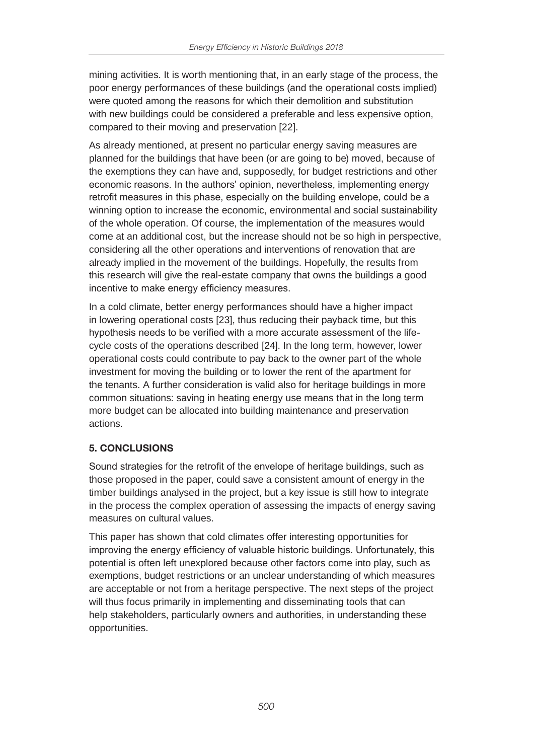mining activities. It is worth mentioning that, in an early stage of the process, the poor energy performances of these buildings (and the operational costs implied) were quoted among the reasons for which their demolition and substitution with new buildings could be considered a preferable and less expensive option, compared to their moving and preservation [22].

As already mentioned, at present no particular energy saving measures are planned for the buildings that have been (or are going to be) moved, because of the exemptions they can have and, supposedly, for budget restrictions and other economic reasons. In the authors' opinion, nevertheless, implementing energy retrofit measures in this phase, especially on the building envelope, could be a winning option to increase the economic, environmental and social sustainability of the whole operation. Of course, the implementation of the measures would come at an additional cost, but the increase should not be so high in perspective, considering all the other operations and interventions of renovation that are already implied in the movement of the buildings. Hopefully, the results from this research will give the real-estate company that owns the buildings a good incentive to make energy efficiency measures.

In a cold climate, better energy performances should have a higher impact in lowering operational costs [23], thus reducing their payback time, but this hypothesis needs to be verified with a more accurate assessment of the lifecycle costs of the operations described [24]. In the long term, however, lower operational costs could contribute to pay back to the owner part of the whole investment for moving the building or to lower the rent of the apartment for the tenants. A further consideration is valid also for heritage buildings in more common situations: saving in heating energy use means that in the long term more budget can be allocated into building maintenance and preservation actions.

## 5. CONCLUSIONS

Sound strategies for the retrofit of the envelope of heritage buildings, such as those proposed in the paper, could save a consistent amount of energy in the timber buildings analysed in the project, but a key issue is still how to integrate in the process the complex operation of assessing the impacts of energy saving measures on cultural values.

This paper has shown that cold climates offer interesting opportunities for improving the energy efficiency of valuable historic buildings. Unfortunately, this potential is often left unexplored because other factors come into play, such as exemptions, budget restrictions or an unclear understanding of which measures are acceptable or not from a heritage perspective. The next steps of the project will thus focus primarily in implementing and disseminating tools that can help stakeholders, particularly owners and authorities, in understanding these opportunities.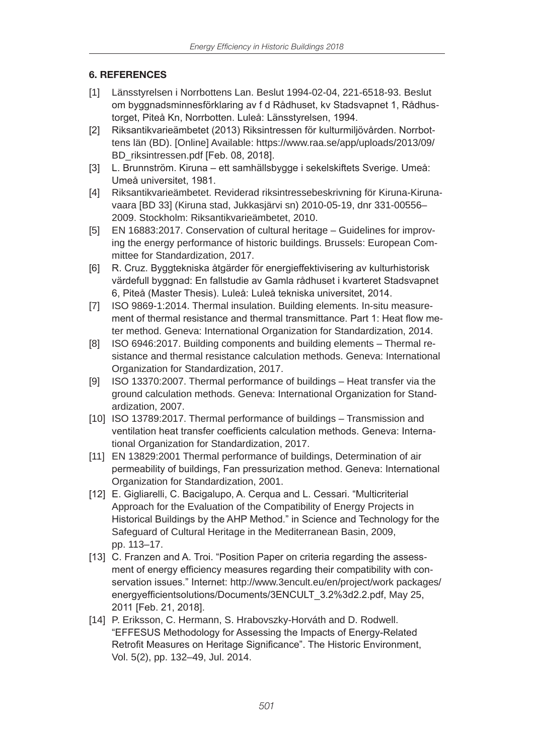#### 6. REFERENCES

- [1] Länsstyrelsen i Norrbottens Lan. Beslut 1994-02-04, 221-6518-93. Beslut om byggnadsminnesförklaring av f d Rådhuset, kv Stadsvapnet 1, Rådhustorget, Piteå Kn, Norrbotten. Luleå: Länsstyrelsen, 1994.
- [2] Riksantikvarieämbetet (2013) Riksintressen för kulturmiljövården. Norrbottens län (BD). [Online] Available: https://www.raa.se/app/uploads/2013/09/ BD\_riksintressen.pdf [Feb. 08, 2018].
- [3] L. Brunnström. Kiruna ett samhällsbygge i sekelskiftets Sverige. Umeå: Umeå universitet, 1981.
- [4] Riksantikvarieämbetet. Reviderad riksintressebeskrivning för Kiruna-Kirunavaara [BD 33] (Kiruna stad, Jukkasjärvi sn) 2010-05-19, dnr 331-00556– 2009. Stockholm: Riksantikvarieämbetet, 2010.
- [5] EN 16883:2017. Conservation of cultural heritage Guidelines for improving the energy performance of historic buildings. Brussels: European Committee for Standardization, 2017.
- [6] R. Cruz. Byggtekniska åtgärder för energieffektivisering av kulturhistorisk värdefull byggnad: En fallstudie av Gamla rådhuset i kvarteret Stadsvapnet 6, Piteå (Master Thesis). Luleå: Luleå tekniska universitet, 2014.
- [7] ISO 9869-1:2014. Thermal insulation. Building elements. In-situ measurement of thermal resistance and thermal transmittance. Part 1: Heat flow meter method. Geneva: International Organization for Standardization, 2014.
- [8] ISO 6946:2017. Building components and building elements Thermal resistance and thermal resistance calculation methods. Geneva: International Organization for Standardization, 2017.
- [9] ISO 13370:2007. Thermal performance of buildings Heat transfer via the ground calculation methods. Geneva: International Organization for Standardization, 2007.
- [10] ISO 13789:2017. Thermal performance of buildings Transmission and ventilation heat transfer coefficients calculation methods. Geneva: International Organization for Standardization, 2017.
- [11] EN 13829:2001 Thermal performance of buildings, Determination of air permeability of buildings, Fan pressurization method. Geneva: International Organization for Standardization, 2001.
- [12] E. Gigliarelli, C. Bacigalupo, A. Cerqua and L. Cessari. "Multicriterial Approach for the Evaluation of the Compatibility of Energy Projects in Historical Buildings by the AHP Method." in Science and Technology for the Safeguard of Cultural Heritage in the Mediterranean Basin, 2009, pp. 113–17.
- [13] C. Franzen and A. Troi. "Position Paper on criteria regarding the assessment of energy efficiency measures regarding their compatibility with conservation issues." Internet: http://www.3encult.eu/en/project/work packages/ energyefficientsolutions/Documents/3ENCULT\_3.2%3d2.2.pdf, May 25, 2011 [Feb. 21, 2018].
- [14] P. Eriksson, C. Hermann, S. Hrabovszky-Horváth and D. Rodwell. "EFFESUS Methodology for Assessing the Impacts of Energy-Related Retrofit Measures on Heritage Significance". The Historic Environment, Vol. 5(2), pp. 132–49, Jul. 2014.